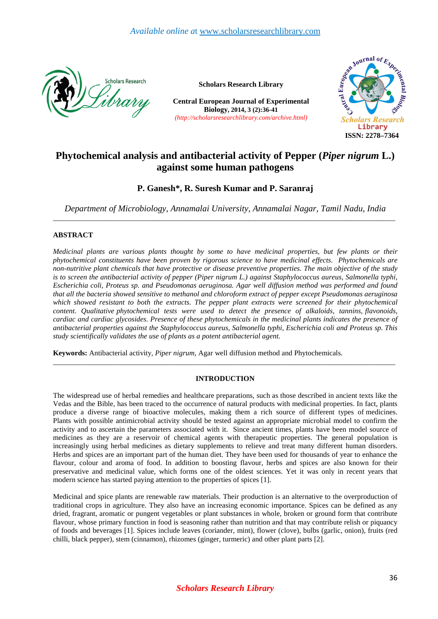

**Scholars Research Library**

 **Central European Journal of Experimental Biology, 2014, 3 (2):36-41** *(http://scholarsresearchlibrary.com/archive.html)*



# **Phytochemical analysis and antibacterial activity of Pepper (***Piper nigrum* **L.) against some human pathogens**

# **P. Ganesh\*, R. Suresh Kumar and P. Saranraj**

*Department of Microbiology, Annamalai University, Annamalai Nagar, Tamil Nadu, India*  \_\_\_\_\_\_\_\_\_\_\_\_\_\_\_\_\_\_\_\_\_\_\_\_\_\_\_\_\_\_\_\_\_\_\_\_\_\_\_\_\_\_\_\_\_\_\_\_\_\_\_\_\_\_\_\_\_\_\_\_\_\_\_\_\_\_\_\_\_\_\_\_\_\_\_\_\_\_\_\_\_\_\_\_\_\_\_\_\_\_\_\_\_

# **ABSTRACT**

*Medicinal plants are various plants thought by some to have medicinal properties, but few plants or their phytochemical constituents have been proven by rigorous science to have medicinal effects. Phytochemicals are non-nutritive plant chemicals that have protective or disease preventive properties. The main objective of the study is to screen the antibacterial activity of pepper (Piper nigrum L.) against Staphylococcus aureus, Salmonella typhi, Escherichia coli, Proteus sp. and Pseudomonas aeruginosa. Agar well diffusion method was performed and found that all the bacteria showed sensitive to methanol and chloroform extract of pepper except Pseudomonas aeruginosa*  which showed resistant to both the extracts. The pepper plant extracts were screened for their phytochemical *content. Qualitative phytochemical tests were used to detect the presence of alkaloids, tannins, flavonoids, cardiac and cardiac glycosides. Presence of these phytochemicals in the medicinal plants indicates the presence of antibacterial properties against the Staphylococcus aureus, Salmonella typhi, Escherichia coli and Proteus sp. This study scientifically validates the use of plants as a potent antibacterial agent.* 

**Keywords:** Antibacterial activity, *Piper nigrum,* Agar well diffusion method and Phytochemicals.

# **INTRODUCTION**

\_\_\_\_\_\_\_\_\_\_\_\_\_\_\_\_\_\_\_\_\_\_\_\_\_\_\_\_\_\_\_\_\_\_\_\_\_\_\_\_\_\_\_\_\_\_\_\_\_\_\_\_\_\_\_\_\_\_\_\_\_\_\_\_\_\_\_\_\_\_\_\_\_\_\_\_\_\_\_\_\_\_\_\_\_\_\_\_\_\_\_\_\_

The widespread use of herbal remedies and healthcare preparations, such as those described in ancient texts like the Vedas and the Bible, has been traced to the occurrence of natural products with medicinal properties. In fact, plants produce a diverse range of bioactive molecules, making them a rich source of different types of medicines. Plants with possible antimicrobial activity should be tested against an appropriate microbial model to confirm the activity and to ascertain the parameters associated with it. Since ancient times, plants have been model source of medicines as they are a reservoir of chemical agents with therapeutic properties. The general population is increasingly using herbal medicines as dietary supplements to relieve and treat many different human disorders. Herbs and spices are an important part of the human diet. They have been used for thousands of year to enhance the flavour, colour and aroma of food. In addition to boosting flavour, herbs and spices are also known for their preservative and medicinal value, which forms one of the oldest sciences. Yet it was only in recent years that modern science has started paying attention to the properties of spices [1].

Medicinal and spice plants are renewable raw materials. Their production is an alternative to the overproduction of traditional crops in agriculture. They also have an increasing economic importance. Spices can be defined as any dried, fragrant, aromatic or pungent vegetables or plant substances in whole, broken or ground form that contribute flavour, whose primary function in food is seasoning rather than nutrition and that may contribute relish or piquancy of foods and beverages [1]. Spices include leaves (coriander, mint), flower (clove), bulbs (garlic, onion), fruits (red chilli, black pepper), stem (cinnamon), rhizomes (ginger, turmeric) and other plant parts [2].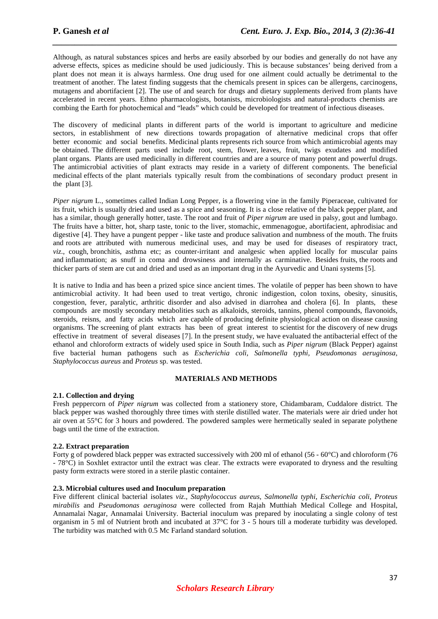Although, as natural substances spices and herbs are easily absorbed by our bodies and generally do not have any adverse effects, spices as medicine should be used judiciously. This is because substances' being derived from a plant does not mean it is always harmless. One drug used for one ailment could actually be detrimental to the treatment of another. The latest finding suggests that the chemicals present in spices can be allergens, carcinogens, mutagens and abortifacient [2]. The use of and search for drugs and dietary supplements derived from plants have accelerated in recent years. Ethno pharmacologists, botanists, microbiologists and natural-products chemists are combing the Earth for photochemical and "leads" which could be developed for treatment of infectious diseases.

*\_\_\_\_\_\_\_\_\_\_\_\_\_\_\_\_\_\_\_\_\_\_\_\_\_\_\_\_\_\_\_\_\_\_\_\_\_\_\_\_\_\_\_\_\_\_\_\_\_\_\_\_\_\_\_\_\_\_\_\_\_\_\_\_\_\_\_\_\_\_\_\_\_\_\_\_\_\_*

The discovery of medicinal plants in different parts of the world is important to agriculture and medicine sectors, in establishment of new directions towards propagation of alternative medicinal crops that offer better economic and social benefits. Medicinal plants represents rich source from which antimicrobial agents may be obtained. The different parts used include root, stem, flower, leaves, fruit, twigs exudates and modified plant organs. Plants are used medicinally in different countries and are a source of many potent and powerful drugs. The antimicrobial activities of plant extracts may reside in a variety of different components. The beneficial medicinal effects of the plant materials typically result from the combinations of secondary product present in the plant [3].

*Piper nigrum* L., sometimes called Indian Long Pepper, is a flowering vine in the family Piperaceae, cultivated for its fruit, which is usually dried and used as a spice and seasoning. It is a close relative of the black pepper plant, and has a similar, though generally hotter, taste. The root and fruit of *Piper nigrum* are used in palsy, gout and lumbago. The fruits have a bitter, hot, sharp taste, tonic to the liver, stomachic, emmenagogue, abortifacient, aphrodisiac and digestive [4]. They have a pungent pepper - like taste and produce salivation and numbness of the mouth. The fruits and roots are attributed with numerous medicinal uses, and may be used for diseases of respiratory tract, *viz*., cough, bronchitis, asthma etc; as counter-irritant and analgesic when applied locally for muscular pains and inflammation; as snuff in coma and drowsiness and internally as carminative. Besides fruits, the roots and thicker parts of stem are cut and dried and used as an important drug in the Ayurvedic and Unani systems [5].

It is native to India and has been a prized spice since ancient times. The volatile of pepper has been shown to have antimicrobial activity. It had been used to treat vertigo, chronic indigestion, colon toxins, obesity, sinusitis, congestion, fever, paralytic, arthritic disorder and also advised in diarrohea and cholera [6]. In plants, these compounds are mostly secondary metabolities such as alkaloids, steroids, tannins, phenol compounds, flavonoids, steroids, reisns, and fatty acids which are capable of producing definite physiological action on disease causing organisms. The screening of plant extracts has been of great interest to scientist for the discovery of new drugs effective in treatment of several diseases [7]. In the present study, we have evaluated the antibacterial effect of the ethanol and chloroform extracts of widely used spice in South India, such as *Piper nigrum* (Black Pepper) against five bacterial human pathogens such as *Escherichia coli, Salmonella typhi, Pseudomonas aeruginosa, Staphylococcus aureus* and *Proteus* sp. was tested.

#### **MATERIALS AND METHODS**

#### **2.1. Collection and drying**

Fresh peppercorn of *Piper nigrum* was collected from a stationery store, Chidambaram, Cuddalore district. The black pepper was washed thoroughly three times with sterile distilled water. The materials were air dried under hot air oven at 55°C for 3 hours and powdered. The powdered samples were hermetically sealed in separate polythene bags until the time of the extraction.

#### **2.2. Extract preparation**

Forty g of powdered black pepper was extracted successively with 200 ml of ethanol (56 - 60°C) and chloroform (76 - 78°C) in Soxhlet extractor until the extract was clear. The extracts were evaporated to dryness and the resulting pasty form extracts were stored in a sterile plastic container.

# **2.3. Microbial cultures used and Inoculum preparation**

Five different clinical bacterial isolates *viz*., *Staphylococcus aureus*, *Salmonella typhi*, *Escherichia coli*, *Proteus mirabilis* and *Pseudomonas aeruginosa* were collected from Rajah Mutthiah Medical College and Hospital, Annamalai Nagar, Annamalai University. Bacterial inoculum was prepared by inoculating a single colony of test organism in 5 ml of Nutrient broth and incubated at 37°C for 3 - 5 hours till a moderate turbidity was developed. The turbidity was matched with 0.5 Mc Farland standard solution.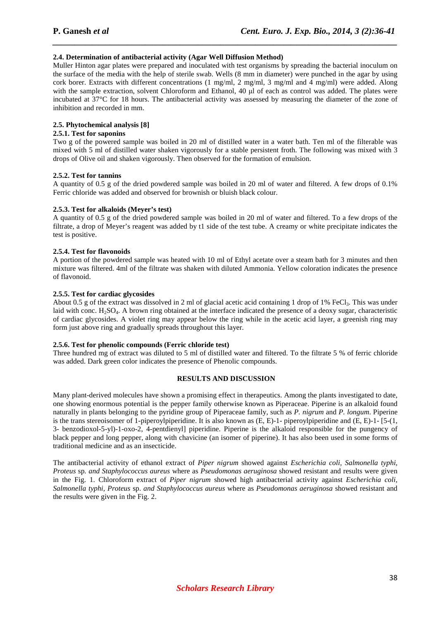#### **2.4. Determination of antibacterial activity (Agar Well Diffusion Method)**

Muller Hinton agar plates were prepared and inoculated with test organisms by spreading the bacterial inoculum on the surface of the media with the help of sterile swab. Wells (8 mm in diameter) were punched in the agar by using cork borer. Extracts with different concentrations (1 mg/ml, 2 mg/ml, 3 mg/ml and 4 mg/ml) were added. Along with the sample extraction, solvent Chloroform and Ethanol, 40 µl of each as control was added. The plates were incubated at 37°C for 18 hours. The antibacterial activity was assessed by measuring the diameter of the zone of inhibition and recorded in mm.

*\_\_\_\_\_\_\_\_\_\_\_\_\_\_\_\_\_\_\_\_\_\_\_\_\_\_\_\_\_\_\_\_\_\_\_\_\_\_\_\_\_\_\_\_\_\_\_\_\_\_\_\_\_\_\_\_\_\_\_\_\_\_\_\_\_\_\_\_\_\_\_\_\_\_\_\_\_\_*

# **2.5. Phytochemical analysis [8]**

#### **2.5.1. Test for saponins**

Two g of the powered sample was boiled in 20 ml of distilled water in a water bath. Ten ml of the filterable was mixed with 5 ml of distilled water shaken vigorously for a stable persistent froth. The following was mixed with 3 drops of Olive oil and shaken vigorously. Then observed for the formation of emulsion.

#### **2.5.2. Test for tannins**

A quantity of 0.5 g of the dried powdered sample was boiled in 20 ml of water and filtered. A few drops of 0.1% Ferric chloride was added and observed for brownish or bluish black colour.

#### **2.5.3. Test for alkaloids (Meyer's test)**

A quantity of 0.5 g of the dried powdered sample was boiled in 20 ml of water and filtered. To a few drops of the filtrate, a drop of Meyer's reagent was added by t1 side of the test tube. A creamy or white precipitate indicates the test is positive.

#### **2.5.4. Test for flavonoids**

A portion of the powdered sample was heated with 10 ml of Ethyl acetate over a steam bath for 3 minutes and then mixture was filtered. 4ml of the filtrate was shaken with diluted Ammonia. Yellow coloration indicates the presence of flavonoid.

#### **2.5.5. Test for cardiac glycosides**

About 0.5 g of the extract was dissolved in 2 ml of glacial acetic acid containing 1 drop of 1% FeCl<sub>3</sub>. This was under laid with conc.  $H_2SO_4$ . A brown ring obtained at the interface indicated the presence of a deoxy sugar, characteristic of cardiac glycosides. A violet ring may appear below the ring while in the acetic acid layer, a greenish ring may form just above ring and gradually spreads throughout this layer.

# **2.5.6. Test for phenolic compounds (Ferric chloride test)**

Three hundred mg of extract was diluted to 5 ml of distilled water and filtered. To the filtrate 5 % of ferric chloride was added. Dark green color indicates the presence of Phenolic compounds.

# **RESULTS AND DISCUSSION**

Many plant-derived molecules have shown a promising effect in therapeutics. Among the plants investigated to date, one showing enormous potential is the pepper family otherwise known as Piperaceae. Piperine is an alkaloid found naturally in plants belonging to the pyridine group of Piperaceae family, such as *P. nigrum* and *P. longum*. Piperine is the trans stereoisomer of 1-piperoylpiperidine. It is also known as  $(E, E)-1$ - piperoylpiperidine and  $(E, E)-1$ - [5-(1, 3- benzodioxol-5-yl)-1-oxo-2, 4-pentdienyl] piperidine. Piperine is the alkaloid responsible for the pungency of black pepper and long pepper, along with chavicine (an isomer of piperine). It has also been used in some forms of traditional medicine and as an insecticide.

The antibacterial activity of ethanol extract of *Piper nigrum* showed against *Escherichia coli, Salmonella typhi, Proteus* sp*. and Staphylococcus aureus* where as *Pseudomonas aeruginosa* showed resistant and results were given in the Fig. 1. Chloroform extract of *Piper nigrum* showed high antibacterial activity against *Escherichia coli, Salmonella typhi, Proteus* sp. *and Staphylococcus aureus* where as *Pseudomonas aeruginosa* showed resistant and the results were given in the Fig. 2.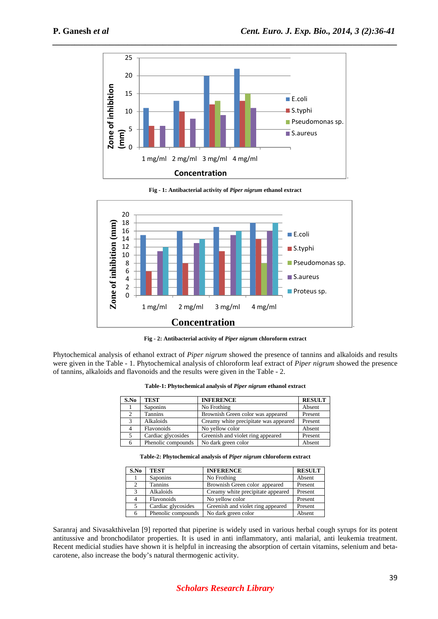

**Fig - 1: Antibacterial activity of** *Piper nigrum* **ethanol extract** 



**Fig - 2: Antibacterial activity of** *Piper nigrum* **chloroform extract**

Phytochemical analysis of ethanol extract of *Piper nigrum* showed the presence of tannins and alkaloids and results were given in the Table - 1. Phytochemical analysis of chloroform leaf extract of *Piper nigrum* showed the presence of tannins, alkaloids and flavonoids and the results were given in the Table - 2.

| S.No | <b>TEST</b>        | <b>INFERENCE</b>                      | <b>RESULT</b> |
|------|--------------------|---------------------------------------|---------------|
|      | Saponins           | No Frothing                           | Absent        |
|      | <b>Tannins</b>     | Brownish Green color was appeared     | Present       |
| 3    | Alkaloids          | Creamy white precipitate was appeared | Present       |
|      | Flavonoids         | No yellow color                       | Absent        |
|      | Cardiac glycosides | Greenish and violet ring appeared     | Present       |
| 6    | Phenolic compounds | No dark green color                   | Absent        |

**Table-1: Phytochemical analysis of** *Piper nigrum* **ethanol extract** 

**Table-2: Phytochemical analysis of** *Piper nigrum* **chloroform extract** 

| S.No | <b>TEST</b>        | <b>INFERENCE</b>                  | <b>RESULT</b> |
|------|--------------------|-----------------------------------|---------------|
|      | <b>Saponins</b>    | No Frothing                       | Absent        |
| 2    | <b>Tannins</b>     | Brownish Green color appeared     | Present       |
| 3    | Alkaloids          | Creamy white precipitate appeared | Present       |
|      | Flavonoids         | No yellow color                   | Present       |
| 5    | Cardiac glycosides | Greenish and violet ring appeared | Present       |
| 6    | Phenolic compounds | No dark green color               | Absent        |

Saranraj and Sivasakthivelan [9] reported that piperine is widely used in various herbal cough syrups for its potent antitussive and bronchodilator properties. It is used in anti inflammatory, anti malarial, anti leukemia treatment. Recent medicial studies have shown it is helpful in increasing the absorption of certain vitamins, selenium and betacarotene, also increase the body's natural thermogenic activity.

# *Scholars Research Library*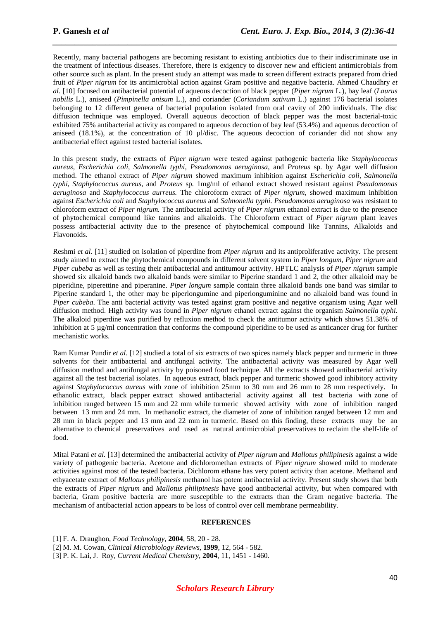Recently, many bacterial pathogens are becoming resistant to existing antibiotics due to their indiscriminate use in the treatment of infectious diseases. Therefore, there is exigency to discover new and efficient antimicrobials from other source such as plant. In the present study an attempt was made to screen different extracts prepared from dried fruit of *Piper nigrum* for its antimicrobial action against Gram positive and negative bacteria. Ahmed Chaudhry *et al.* [10] focused on antibacterial potential of aqueous decoction of black pepper (*Piper nigrum* L.), bay leaf (*Laurus nobilis* L.), aniseed (*Pimpinella anisum* L.), and coriander (*Coriandum sativum* L.) against 176 bacterial isolates belonging to 12 different genera of bacterial population isolated from oral cavity of 200 individuals. The disc diffusion technique was employed. Overall aqueous decoction of black pepper was the most bacterial-toxic exhibited 75% antibacterial activity as compared to aqueous decoction of bay leaf (53.4%) and aqueous decoction of aniseed (18.1%), at the concentration of 10  $\mu$ *l*/disc. The aqueous decoction of coriander did not show any antibacterial effect against tested bacterial isolates.

*\_\_\_\_\_\_\_\_\_\_\_\_\_\_\_\_\_\_\_\_\_\_\_\_\_\_\_\_\_\_\_\_\_\_\_\_\_\_\_\_\_\_\_\_\_\_\_\_\_\_\_\_\_\_\_\_\_\_\_\_\_\_\_\_\_\_\_\_\_\_\_\_\_\_\_\_\_\_*

In this present study, the extracts of *Piper nigrum* were tested against pathogenic bacteria like *Staphylococcus aureus, Escherichia coli, Salmonella typhi, Pseudomonas aeruginosa*, and *Proteus* sp. by Agar well diffusion method. The ethanol extract of *Piper nigrum* showed maximum inhibition against *Escherichia coli, Salmonella typhi, Staphylococcus aureus*, and *Proteus* sp*.* 1mg/ml of ethanol extract showed resistant against *Pseudomonas aeruginosa* and *Staphylococcus aurreus.* The chloroform extract of *Piper nigrum*, showed maximum inhibition against *Escherichia coli* and *Staphylococcus aureus* and *Salmonella typhi. Pseudomonas aeruginosa* was resistant to chloroform extract of *Piper nigrum.* The antibacterial activity of *Piper nigrum* ethanol extract is due to the presence of phytochemical compound like tannins and alkaloids. The Chloroform extract of *Piper nigrum* plant leaves possess antibacterial activity due to the presence of phytochemical compound like Tannins, Alkaloids and Flavonoids.

Reshmi *et al.* [11] studied on isolation of piperdine from *Piper nigrum* and its antiproliferative activity. The present study aimed to extract the phytochemical compounds in different solvent system in *Piper longum*, *Piper nigrum* and *Piper cubeba* as well as testing their antibacterial and antitumour activity. HPTLC analysis of *Piper nigrum* sample showed six alkaloid bands two alkaloid bands were similar to Piperine standard 1 and 2, the other alkaloid may be piperidine, piperettine and piperanine. *Piper longum* sample contain three alkaloid bands one band was similar to Piperine standard 1, the other may be piperlongumine and piperlonguminine and no alkaloid band was found in *Piper cubeba*. The anti bacterial activity was tested against gram positive and negative organism using Agar well diffusion method. High activity was found in *Piper nigrum* ethanol extract against the organism *Salmonella typhi*. The alkaloid piperdine was purified by refluxion method to check the antitumor activity which shows 51.38% of inhibition at 5  $\mu$ g/ml concentration that conforms the compound piperidine to be used as anticancer drug for further mechanistic works.

Ram Kumar Pundir *et al.* [12] studied a total of six extracts of two spices namely black pepper and turmeric in three solvents for their antibacterial and antifungal activity. The antibacterial activity was measured by Agar well diffusion method and antifungal activity by poisoned food technique. All the extracts showed antibacterial activity against all the test bacterial isolates. In aqueous extract, black pepper and turmeric showed good inhibitory activity against *Staphylococcus aureus* with zone of inhibition 25mm to 30 mm and 26 mm to 28 mm respectively. In ethanolic extract, black pepper extract showed antibacterial activity against all test bacteria with zone of inhibition ranged between 15 mm and 22 mm while turmeric showed activity with zone of inhibition ranged between 13 mm and 24 mm. In methanolic extract, the diameter of zone of inhibition ranged between 12 mm and 28 mm in black pepper and 13 mm and 22 mm in turmeric. Based on this finding, these extracts may be an alternative to chemical preservatives and used as natural antimicrobial preservatives to reclaim the shelf-life of food.

Mital Patani *et al.* [13] determined the antibacterial activity of *Piper nigrum* and *Mallotus philipinesis* against a wide variety of pathogenic bacteria. Acetone and dichloromethan extracts of *Piper nigrum* showed mild to moderate activities against most of the tested bacteria. Dichlorom ethane has very potent activity than acetone. Methanol and ethyacetate extract of *Mallotus philipinesis* methanol has potent antibacterial activity. Present study shows that both the extracts of *Piper nigrum* and *Mallotus philipinesis* have good antibacterial activity, but when compared with bacteria, Gram positive bacteria are more susceptible to the extracts than the Gram negative bacteria. The mechanism of antibacterial action appears to be loss of control over cell membrane permeability.

#### **REFERENCES**

[1] F. A. Draughon, *Food Technology*, **2004**, 58, 20 - 28. [2] M. M. Cowan, *Clinical Microbiology Reviews*, **1999**, 12, 564 - 582. [3] P. K. Lai, J. Roy, *Current Medical Chemistry*, **2004**, 11, 1451 - 1460.